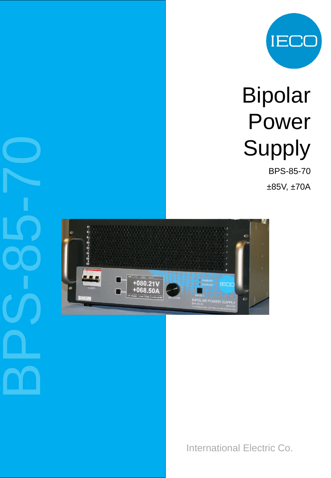

# Bipolar Power Supply

BPS -85 -70

±85V, ±70A



International Electric Co.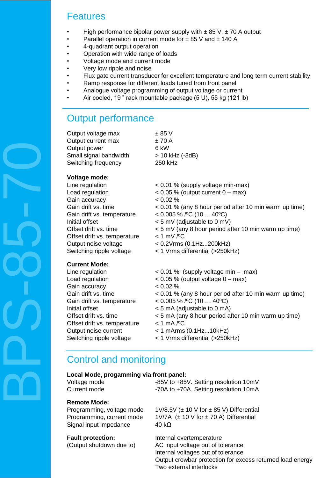## Features

- High performance bipolar power supply with  $\pm$  85 V,  $\pm$  70 A output
- Parallel operation in current mode for  $\pm$  85 V and  $\pm$  140 A
- 4-quadrant output operation
- Operation with wide range of loads
- Voltage mode and current mode
- Very low ripple and noise
- Flux gate current transducer for excellent temperature and long term current stability
- Ramp response for different loads tuned from front panel
- Analogue voltage programming of output voltage or current
- Air cooled, 19 " rack mountable package (5 U), 55 kg (121 lb)

## Output performance

| Output voltage max     | $\pm$ 85 V      |
|------------------------|-----------------|
| Output current max     | ±70A            |
| Output power           | 6 kW            |
| Small signal bandwidth | > 10 kHz (-3dB) |
| Switching frequency    | 250 kHz         |
|                        |                 |

### **Voltage mode:**

| Line regulation              |  |
|------------------------------|--|
| Load regulation              |  |
| Gain accuracy                |  |
| Gain drift vs. time          |  |
| Gain drift vs. temperature   |  |
| Initial offset               |  |
| Offset drift vs. time        |  |
| Offset drift vs. temperature |  |
| Output noise voltage         |  |
| Switching ripple voltage     |  |

- $< 0.01$  % (supply voltage min-max)  $< 0.05$  % (output current  $0 - \text{max}$ )  $< 0.02 %$  $<$  0.01 % (any 8 hour period after 10 min warm up time)  $< 0.005$  % /°C (10 ... 40°C)  $<$  5 mV (adjustable to 0 mV)  $<$  5 mV (any 8 hour period after 10 min warm up time)  $<$  1 mV / $\degree$ C < 0.2Vrms (0.1Hz...200kHz)
- < 1 Vrms differential (>250kHz)

#### **Current Mode:**

Gain accuracy  $< 0.02 %$ Gain drift vs. temperature  $\sim 0.005\%$  /°C (10 ... 40°C) Offset drift vs. temperature < 1 mA /ºC Output noise current < 1 mArms (0.1Hz...10kHz)

- Line regulation < 0.01 % (supply voltage min max)
- Load regulation < 0.05 % (output voltage 0 max)
	-
- Gain drift vs. time  $\leq 0.01\%$  (any 8 hour period after 10 min warm up time)
	-
- Initial offset < 5 mA (adjustable to 0 mA)
- Offset drift vs. time < 5 mA (any 8 hour period after 10 min warm up time)
	-
	-
- Switching ripple voltage  $\leq 1$  Vrms differential (>250kHz)

## Control and monitoring

|  | Local Mode, progamming via front panel: |  |  |  |
|--|-----------------------------------------|--|--|--|
|--|-----------------------------------------|--|--|--|

| Voltage mode | -85V to +85V. Setting resolution 10mV |
|--------------|---------------------------------------|
| Current mode | -70A to +70A. Setting resolution 10mA |

#### **Remote Mode:**

Signal input impedance  $40 k\Omega$ 

Programming, voltage mode  $1\frac{10}{8.5}$  ( $\pm$  10 V for  $\pm$  85 V) Differential Programming, current mode  $1V/7A$  ( $\pm$  10 V for  $\pm$  70 A) Differential

**Fault protection:** Internal overtemperature (Output shutdown due to) AC input voltage out of tolerance Internal voltages out of tolerance Output crowbar protection for excess returned load energy Two external interlocks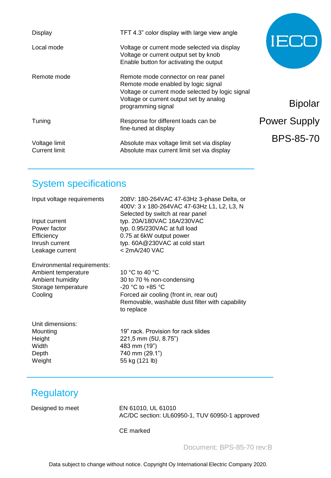| <b>Display</b>                        | TFT 4.3" color display with large view angle                                                                                                                                                    | 'I ⊟t               |
|---------------------------------------|-------------------------------------------------------------------------------------------------------------------------------------------------------------------------------------------------|---------------------|
| Local mode                            | Voltage or current mode selected via display<br>Voltage or current output set by knob<br>Enable button for activating the output                                                                |                     |
| Remote mode                           | Remote mode connector on rear panel<br>Remote mode enabled by logic signal<br>Voltage or current mode selected by logic signal<br>Voltage or current output set by analog<br>programming signal | <b>Bipolar</b>      |
| Tuning                                | Response for different loads can be<br>fine-tuned at display                                                                                                                                    | <b>Power Supply</b> |
| Voltage limit<br><b>Current limit</b> | Absolute max voltage limit set via display<br>Absolute max current limit set via display                                                                                                        | <b>BPS-85-70</b>    |

## System specifications

| Input voltage requirements<br>Input current<br>Power factor<br>Efficiency<br>Inrush current<br>Leakage current | 208V: 180-264VAC 47-63Hz 3-phase Delta, or<br>400V: 3 x 180-264VAC 47-63Hz L1, L2, L3, N<br>Selected by switch at rear panel<br>typ. 20A/180VAC 16A/230VAC<br>typ. 0.95/230VAC at full load<br>0.75 at 6kW output power<br>typ. 60A@230VAC at cold start<br>< 2mA/240 VAC |
|----------------------------------------------------------------------------------------------------------------|---------------------------------------------------------------------------------------------------------------------------------------------------------------------------------------------------------------------------------------------------------------------------|
| Environmental requirements:<br>Ambient temperature<br>Ambient humidity<br>Storage temperature<br>Cooling       | 10 °C to 40 °C<br>30 to 70 % non-condensing<br>$-20$ °C to $+85$ °C<br>Forced air cooling (front in, rear out)<br>Removable, washable dust filter with capability<br>to replace                                                                                           |
| Unit dimensions:<br>Mounting<br>Height<br>Width<br>Depth<br>Weight                                             | 19" rack. Provision for rack slides<br>221,5 mm (5U, 8.75")<br>483 mm (19")<br>740 mm (29.1")<br>55 kg (121 lb)                                                                                                                                                           |

## **Regulatory**

Designed to meet EN 61010, UL 61010 AC/DC section: UL60950-1, TUV 60950-1 approved

CE marked

Document: BPS-85-70 rev:B